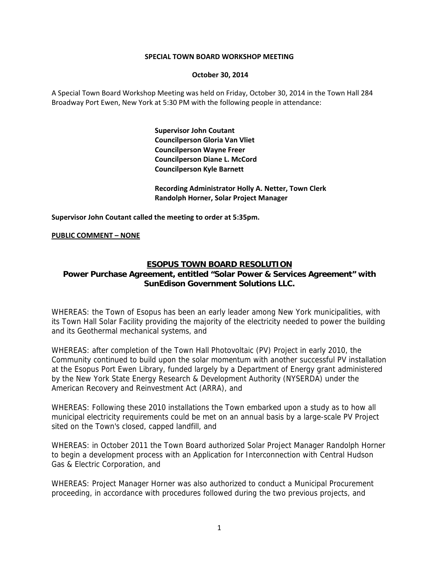#### **SPECIAL TOWN BOARD WORKSHOP MEETING**

#### **October 30, 2014**

A Special Town Board Workshop Meeting was held on Friday, October 30, 2014 in the Town Hall 284 Broadway Port Ewen, New York at 5:30 PM with the following people in attendance:

> **Supervisor John Coutant Councilperson Gloria Van Vliet Councilperson Wayne Freer Councilperson Diane L. McCord Councilperson Kyle Barnett**

 **Recording Administrator Holly A. Netter, Town Clerk Randolph Horner, Solar Project Manager**

**Supervisor John Coutant called the meeting to order at 5:35pm.**

#### **PUBLIC COMMENT – NONE**

# **ESOPUS TOWN BOARD RESOLUTION**

# **Power Purchase Agreement, entitled "Solar Power & Services Agreement" with SunEdison Government Solutions LLC.**

WHEREAS: the Town of Esopus has been an early leader among New York municipalities, with its Town Hall Solar Facility providing the majority of the electricity needed to power the building and its Geothermal mechanical systems, and

WHEREAS: after completion of the Town Hall Photovoltaic (PV) Project in early 2010, the Community continued to build upon the solar momentum with another successful PV installation at the Esopus Port Ewen Library, funded largely by a Department of Energy grant administered by the New York State Energy Research & Development Authority (NYSERDA) under the American Recovery and Reinvestment Act (ARRA), and

WHEREAS: Following these 2010 installations the Town embarked upon a study as to how all municipal electricity requirements could be met on an annual basis by a large-scale PV Project sited on the Town's closed, capped landfill, and

WHEREAS: in October 2011 the Town Board authorized Solar Project Manager Randolph Horner to begin a development process with an Application for Interconnection with Central Hudson Gas & Electric Corporation, and

WHEREAS: Project Manager Horner was also authorized to conduct a Municipal Procurement proceeding, in accordance with procedures followed during the two previous projects, and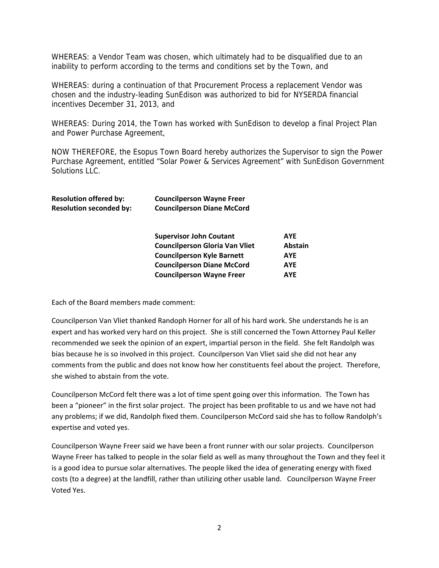WHEREAS: a Vendor Team was chosen, which ultimately had to be disqualified due to an inability to perform according to the terms and conditions set by the Town, and

WHEREAS: during a continuation of that Procurement Process a replacement Vendor was chosen and the industry-leading SunEdison was authorized to bid for NYSERDA financial incentives December 31, 2013, and

WHEREAS: During 2014, the Town has worked with SunEdison to develop a final Project Plan and Power Purchase Agreement,

NOW THEREFORE, the Esopus Town Board hereby authorizes the Supervisor to sign the Power Purchase Agreement, entitled "Solar Power & Services Agreement" with SunEdison Government Solutions LLC.

| <b>Resolution offered by:</b>  | <b>Councilperson Wayne Freer</b>  |
|--------------------------------|-----------------------------------|
| <b>Resolution seconded by:</b> | <b>Councilperson Diane McCord</b> |

| <b>Supervisor John Coutant</b>        | <b>AYE</b>     |
|---------------------------------------|----------------|
| <b>Councilperson Gloria Van Vliet</b> | <b>Abstain</b> |
| <b>Councilperson Kyle Barnett</b>     | AYE            |
| <b>Councilperson Diane McCord</b>     | <b>AYE</b>     |
| <b>Councilperson Wayne Freer</b>      | <b>AYE</b>     |

Each of the Board members made comment:

Councilperson Van Vliet thanked Randoph Horner for all of his hard work. She understands he is an expert and has worked very hard on this project. She is still concerned the Town Attorney Paul Keller recommended we seek the opinion of an expert, impartial person in the field. She felt Randolph was bias because he is so involved in this project. Councilperson Van Vliet said she did not hear any comments from the public and does not know how her constituents feel about the project. Therefore, she wished to abstain from the vote.

Councilperson McCord felt there was a lot of time spent going over this information. The Town has been a "pioneer" in the first solar project. The project has been profitable to us and we have not had any problems; if we did, Randolph fixed them. Councilperson McCord said she has to follow Randolph's expertise and voted yes.

Councilperson Wayne Freer said we have been a front runner with our solar projects. Councilperson Wayne Freer has talked to people in the solar field as well as many throughout the Town and they feel it is a good idea to pursue solar alternatives. The people liked the idea of generating energy with fixed costs (to a degree) at the landfill, rather than utilizing other usable land. Councilperson Wayne Freer Voted Yes.